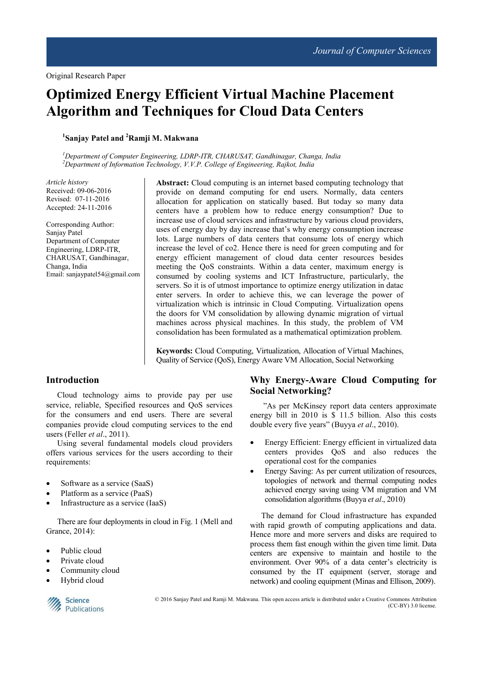# **Optimized Energy Efficient Virtual Machine Placement Algorithm and Techniques for Cloud Data Centers**

# **1 Sanjay Patel and <sup>2</sup>Ramji M. Makwana**

*<sup>1</sup>Department of Computer Engineering, LDRP-ITR, CHARUSAT, Gandhinagar, Changa, India <sup>2</sup>Department of Information Technology, V.V.P. College of Engineering, Rajkot, India* 

*Article history*  Received: 09-06-2016 Revised: 07-11-2016 Accepted: 24-11-2016

Corresponding Author: Sanjay Patel Department of Computer Engineering, LDRP-ITR, CHARUSAT, Gandhinagar, Changa, India Email: sanjaypatel54@gmail.com **Abstract:** Cloud computing is an internet based computing technology that provide on demand computing for end users. Normally, data centers allocation for application on statically based. But today so many data centers have a problem how to reduce energy consumption? Due to increase use of cloud services and infrastructure by various cloud providers, uses of energy day by day increase that's why energy consumption increase lots. Large numbers of data centers that consume lots of energy which increase the level of co2. Hence there is need for green computing and for energy efficient management of cloud data center resources besides meeting the QoS constraints. Within a data center, maximum energy is consumed by cooling systems and ICT Infrastructure, particularly, the servers. So it is of utmost importance to optimize energy utilization in datac enter servers. In order to achieve this, we can leverage the power of virtualization which is intrinsic in Cloud Computing. Virtualization opens the doors for VM consolidation by allowing dynamic migration of virtual machines across physical machines. In this study, the problem of VM consolidation has been formulated as a mathematical optimization problem.

**Keywords:** Cloud Computing, Virtualization, Allocation of Virtual Machines, Quality of Service (QoS), Energy Aware VM Allocation, Social Networking

# **Introduction**

Cloud technology aims to provide pay per use service, reliable, Specified resources and QoS services for the consumers and end users. There are several companies provide cloud computing services to the end users (Feller *et al*., 2011).

Using several fundamental models cloud providers offers various services for the users according to their requirements:

- Software as a service (SaaS)
- Platform as a service (PaaS)
- Infrastructure as a service (IaaS)

There are four deployments in cloud in Fig. 1 (Mell and Grance, 2014):

- Public cloud
- Private cloud
- Community cloud
- Hybrid cloud



© 2016 Sanjay Patel and Ramji M. Makwana. This open access article is distributed under a Creative Commons Attribution (CC-BY) 3.0 license.

# **Why Energy-Aware Cloud Computing for Social Networking?**

"As per McKinsey report data centers approximate energy bill in 2010 is \$ 11.5 billion. Also this costs double every five years" (Buyya *et al*., 2010).

- Energy Efficient: Energy efficient in virtualized data centers provides QoS and also reduces the operational cost for the companies
- Energy Saving: As per current utilization of resources, topologies of network and thermal computing nodes achieved energy saving using VM migration and VM consolidation algorithms (Buyya *et al*., 2010)

The demand for Cloud infrastructure has expanded with rapid growth of computing applications and data. Hence more and more servers and disks are required to process them fast enough within the given time limit. Data centers are expensive to maintain and hostile to the environment. Over 90% of a data center's electricity is consumed by the IT equipment (server, storage and network) and cooling equipment (Minas and Ellison, 2009).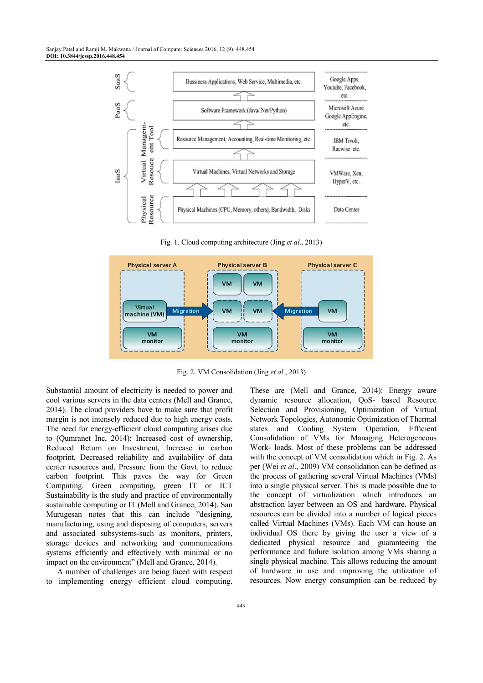

Fig. 1. Cloud computing architecture (Jing *et al*., 2013)



Fig. 2. VM Consolidation (Jing *et al*., 2013)

Substantial amount of electricity is needed to power and cool various servers in the data centers (Mell and Grance, 2014). The cloud providers have to make sure that profit margin is not intensely reduced due to high energy costs. The need for energy-efficient cloud computing arises due to (Qumranet Inc, 2014): Increased cost of ownership, Reduced Return on Investment, Increase in carbon footprint, Decreased reliability and availability of data center resources and, Pressure from the Govt. to reduce carbon footprint. This paves the way for Green Computing. Green computing, green IT or ICT Sustainability is the study and practice of environmentally sustainable computing or IT (Mell and Grance, 2014). San Murugesan notes that this can include "designing, manufacturing, using and disposing of computers, servers and associated subsystems-such as monitors, printers, storage devices and networking and communications systems efficiently and effectively with minimal or no impact on the environment" (Mell and Grance, 2014).

A number of challenges are being faced with respect to implementing energy efficient cloud computing. dynamic resource allocation, QoS- based Resource Selection and Provisioning, Optimization of Virtual Network Topologies, Autonomic Optimization of Thermal states and Cooling System Operation, Efficient Consolidation of VMs for Managing Heterogeneous Work- loads. Most of these problems can be addressed with the concept of VM consolidation which in Fig. 2. As per (Wei *et al*., 2009) VM consolidation can be defined as the process of gathering several Virtual Machines (VMs) into a single physical server. This is made possible due to the concept of virtualization which introduces an abstraction layer between an OS and hardware. Physical resources can be divided into a number of logical pieces called Virtual Machines (VMs). Each VM can house an individual OS there by giving the user a view of a dedicated physical resource and guaranteeing the performance and failure isolation among VMs sharing a single physical machine. This allows reducing the amount of hardware in use and improving the utilization of resources. Now energy consumption can be reduced by

These are (Mell and Grance, 2014): Energy aware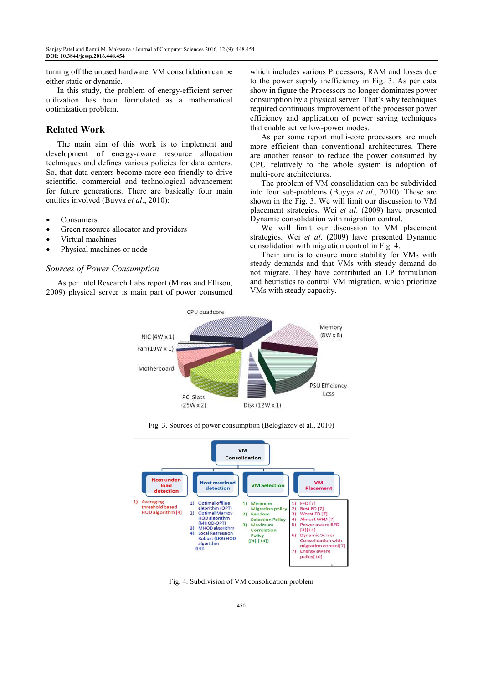turning off the unused hardware. VM consolidation can be either static or dynamic.

In this study, the problem of energy-efficient server utilization has been formulated as a mathematical optimization problem.

## **Related Work**

The main aim of this work is to implement and development of energy-aware resource allocation techniques and defines various policies for data centers. So, that data centers become more eco-friendly to drive scientific, commercial and technological advancement for future generations. There are basically four main entities involved (Buyya *et al*., 2010):

- Consumers
- Green resource allocator and providers
- Virtual machines
- Physical machines or node

#### *Sources of Power Consumption*

As per Intel Research Labs report (Minas and Ellison, 2009) physical server is main part of power consumed which includes various Processors, RAM and losses due to the power supply inefficiency in Fig. 3. As per data show in figure the Processors no longer dominates power consumption by a physical server. That's why techniques required continuous improvement of the processor power efficiency and application of power saving techniques that enable active low-power modes.

As per some report multi-core processors are much more efficient than conventional architectures. There are another reason to reduce the power consumed by CPU relatively to the whole system is adoption of multi-core architectures.

The problem of VM consolidation can be subdivided into four sub-problems (Buyya *et al*., 2010). These are shown in the Fig. 3. We will limit our discussion to VM placement strategies. Wei *et al*. (2009) have presented Dynamic consolidation with migration control.

We will limit our discussion to VM placement strategies. Wei *et al*. (2009) have presented Dynamic consolidation with migration control in Fig. 4.

Their aim is to ensure more stability for VMs with steady demands and that VMs with steady demand do not migrate. They have contributed an LP formulation and heuristics to control VM migration, which prioritize VMs with steady capacity.



Fig. 3. Sources of power consumption (Beloglazov et al., 2010)



Fig. 4. Subdivision of VM consolidation problem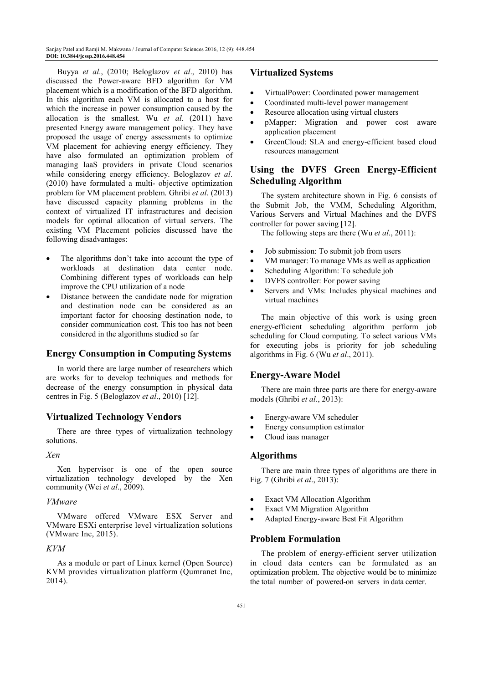Buyya *et al*., (2010; Beloglazov *et al*., 2010) has discussed the Power-aware BFD algorithm for VM placement which is a modification of the BFD algorithm. In this algorithm each VM is allocated to a host for which the increase in power consumption caused by the allocation is the smallest. Wu *et al*. (2011) have presented Energy aware management policy. They have proposed the usage of energy assessments to optimize VM placement for achieving energy efficiency. They have also formulated an optimization problem of managing IaaS providers in private Cloud scenarios while considering energy efficiency. Beloglazov *et al*. (2010) have formulated a multi- objective optimization problem for VM placement problem. Ghribi *et al*. (2013) have discussed capacity planning problems in the context of virtualized IT infrastructures and decision models for optimal allocation of virtual servers. The existing VM Placement policies discussed have the following disadvantages:

- The algorithms don't take into account the type of workloads at destination data center node. Combining different types of workloads can help improve the CPU utilization of a node
- Distance between the candidate node for migration and destination node can be considered as an important factor for choosing destination node, to consider communication cost. This too has not been considered in the algorithms studied so far

# **Energy Consumption in Computing Systems**

In world there are large number of researchers which are works for to develop techniques and methods for decrease of the energy consumption in physical data centres in Fig. 5 (Beloglazov *et al*., 2010) [12].

# **Virtualized Technology Vendors**

There are three types of virtualization technology solutions.

#### *Xen*

Xen hypervisor is one of the open source virtualization technology developed by the Xen community (Wei *et al*., 2009).

#### *VMware*

VMware offered VMware ESX Server and VMware ESXi enterprise level virtualization solutions (VMware Inc, 2015).

#### *KVM*

As a module or part of Linux kernel (Open Source) KVM provides virtualization platform (Qumranet Inc, 2014).

## **Virtualized Systems**

- VirtualPower: Coordinated power management
- Coordinated multi-level power management
- Resource allocation using virtual clusters
- pMapper: Migration and power cost aware application placement
- GreenCloud: SLA and energy-efficient based cloud resources management

# **Using the DVFS Green Energy-Efficient Scheduling Algorithm**

The system architecture shown in Fig. 6 consists of the Submit Job, the VMM, Scheduling Algorithm, Various Servers and Virtual Machines and the DVFS controller for power saving [12].

The following steps are there (Wu *et al*., 2011):

- Job submission: To submit job from users
- VM manager: To manage VMs as well as application
- Scheduling Algorithm: To schedule job
- DVFS controller: For power saving
- Servers and VMs: Includes physical machines and virtual machines

The main objective of this work is using green energy-efficient scheduling algorithm perform job scheduling for Cloud computing. To select various VMs for executing jobs is priority for job scheduling algorithms in Fig. 6 (Wu *et al*., 2011).

#### **Energy-Aware Model**

There are main three parts are there for energy-aware models (Ghribi *et al*., 2013):

- Energy-aware VM scheduler
- Energy consumption estimator
- Cloud iaas manager

#### **Algorithms**

There are main three types of algorithms are there in Fig. 7 (Ghribi *et al*., 2013):

- **Exact VM Allocation Algorithm**
- **Exact VM Migration Algorithm**
- Adapted Energy-aware Best Fit Algorithm

#### **Problem Formulation**

The problem of energy-efficient server utilization in cloud data centers can be formulated as an optimization problem. The objective would be to minimize the total number of powered-on servers in data center.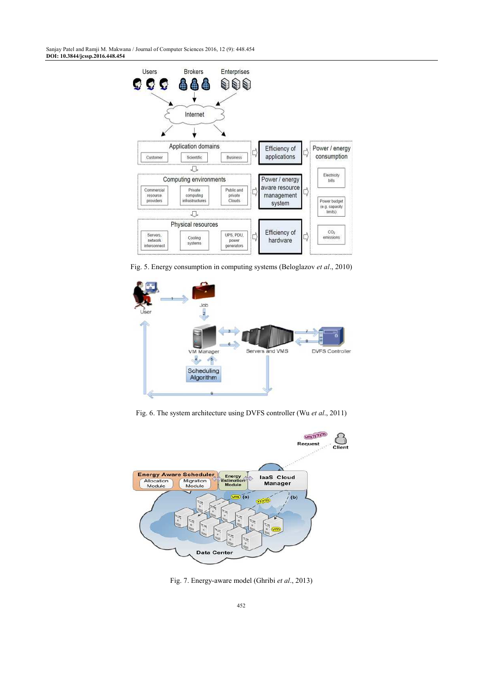Sanjay Patel and Ramji M. Makwana / Journal of Computer Sciences 2016, 12 (9): 448.454 **DOI: 10.3844/jcssp.2016.448.454** 



Fig. 5. Energy consumption in computing systems (Beloglazov *et al*., 2010)



Fig. 6. The system architecture using DVFS controller (Wu *et al*., 2011)



Fig. 7. Energy-aware model (Ghribi *et al*., 2013)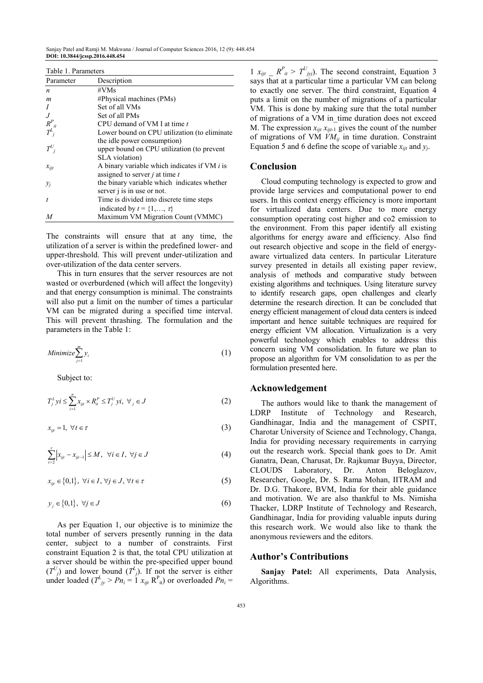Sanjay Patel and Ramji M. Makwana / Journal of Computer Sciences 2016, 12 (9): 448.454 **DOI: 10.3844/jcssp.2016.448.454** 

Table 1. Parameters

| Parameter                            | Description                                    |
|--------------------------------------|------------------------------------------------|
| n                                    | #VMs                                           |
| m                                    | $#Physical$ machines (PMs)                     |
|                                      | Set of all VMs                                 |
| $\overline{J}$                       | Set of all PMs                                 |
|                                      | CPU demand of VM I at time t                   |
| $R_{\overline{I}}^P_{\phantom{I}ii}$ | Lower bound on CPU utilization (to eliminate   |
|                                      | the idle power consumption)                    |
| $T^U_{i}$                            | upper bound on CPU utilization (to prevent     |
|                                      | SLA violation)                                 |
| $x_{ijt}$                            | A binary variable which indicates if VM $i$ is |
|                                      | assigned to server $j$ at time $t$             |
| $y_i$                                | the binary variable which indicates whether    |
|                                      | server <i>i</i> is in use or not.              |
| t                                    | Time is divided into discrete time steps       |
|                                      | indicated by $t = \{1, , \tau\}$               |
| M                                    | Maximum VM Migration Count (VMMC)              |

The constraints will ensure that at any time, the utilization of a server is within the predefined lower- and upper-threshold. This will prevent under-utilization and over-utilization of the data center servers.

This in turn ensures that the server resources are not wasted or overburdened (which will affect the longevity) and that energy consumption is minimal. The constraints will also put a limit on the number of times a particular VM can be migrated during a specified time interval. This will prevent thrashing. The formulation and the parameters in the Table 1:

Minimize 
$$
\sum_{j=1}^{m} y_i
$$
 (1)

Subject to:

$$
T_j^L y i \le \sum_{i=1}^n x_{iji} \times R_i^P \le T_j^U y i, \ \forall_j \in J
$$
 (2)

$$
x_{ijt} = 1, \ \forall t \in \tau \tag{3}
$$

$$
\sum_{i=2}^{r} |x_{iji} - x_{iji-1}| \le M, \quad \forall i \in I, \ \forall j \in J
$$
\n
$$
(4)
$$

 $x_{ii} \in \{0,1\}, \ \forall i \in I, \ \forall j \in J, \ \forall t \in \tau$  (5)

$$
y_j \in \{0,1\}, \ \forall j \in J \tag{6}
$$

As per Equation 1, our objective is to minimize the total number of servers presently running in the data center, subject to a number of constraints. First constraint Equation 2 is that, the total CPU utilization at a server should be within the pre-specified upper bound  $(T^{U}_{j})$  and lower bound  $(T^{L}_{j})$ . If not the server is either under loaded ( $T^L_{\ jy} > Pn_i = 1$   $x_{ijt}$  R<sup>P</sup><sub>it</sub>) or overloaded  $Pn_i =$ 

1  $x_{ijt}$   $\sum R^p_{it} > T^U_{jij}$ . The second constraint, Equation 3 says that at a particular time a particular VM can belong to exactly one server. The third constraint, Equation 4 puts a limit on the number of migrations of a particular VM. This is done by making sure that the total number of migrations of a VM in time duration does not exceed M. The expression  $x_{ijt}$   $x_{ijt-1}$  gives the count of the number of migrations of VM  $\hat{V}M_{ij}$  in time duration. Constraint Equation 5 and 6 define the scope of variable  $x_{ijt}$  and  $y_j$ .

## **Conclusion**

Cloud computing technology is expected to grow and provide large services and computational power to end users. In this context energy efficiency is more important for virtualized data centers. Due to more energy consumption operating cost higher and co2 emission to the environment. From this paper identify all existing algorithms for energy aware and efficiency. Also find out research objective and scope in the field of energyaware virtualized data centers. In particular Literature survey presented in details all existing paper review, analysis of methods and comparative study between existing algorithms and techniques. Using literature survey to identify research gaps, open challenges and clearly determine the research direction. It can be concluded that energy efficient management of cloud data centers is indeed important and hence suitable techniques are required for energy efficient VM allocation. Virtualization is a very powerful technology which enables to address this concern using VM consolidation. In future we plan to propose an algorithm for VM consolidation to as per the formulation presented here.

# **Acknowledgement**

The authors would like to thank the management of LDRP Institute of Technology and Research, Gandhinagar, India and the management of CSPIT, Charotar University of Science and Technology, Changa, India for providing necessary requirements in carrying out the research work. Special thank goes to Dr. Amit Ganatra, Dean, Charusat, Dr. Rajkumar Buyya, Director, CLOUDS Laboratory, Dr. Anton Beloglazov, Researcher, Google, Dr. S. Rama Mohan, IITRAM and Dr. D.G. Thakore, BVM, India for their able guidance and motivation. We are also thankful to Ms. Nimisha Thacker, LDRP Institute of Technology and Research, Gandhinagar, India for providing valuable inputs during this research work. We would also like to thank the anonymous reviewers and the editors.

## **Author's Contributions**

**Sanjay Patel:** All experiments, Data Analysis, Algorithms.